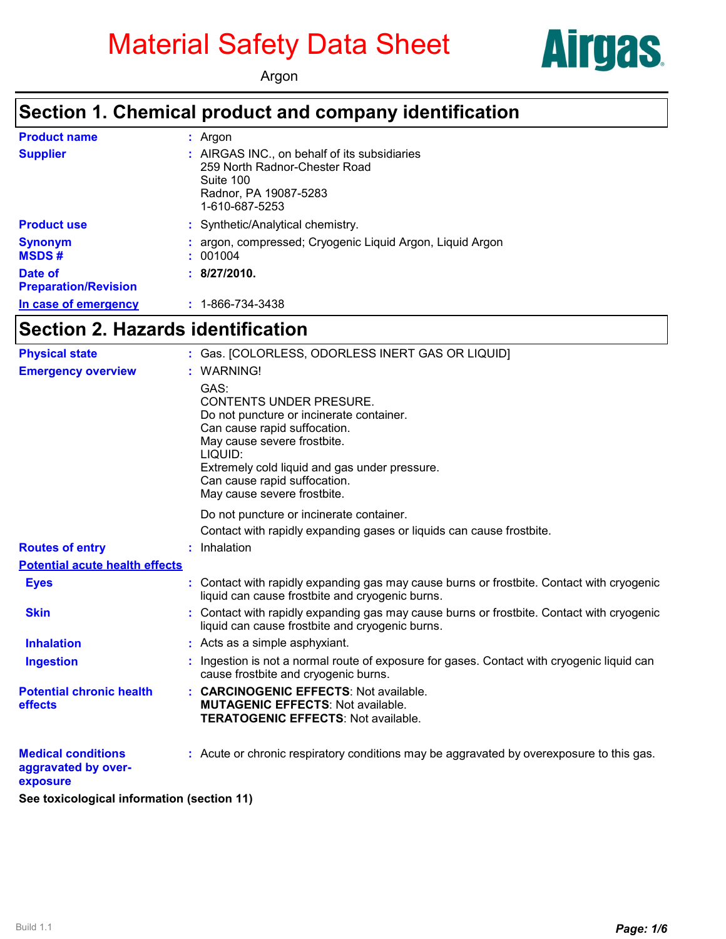# Material Safety Data Sheet



Argon

#### **Section 1. Chemical product and company identification**

| <b>Product name</b>                    | : Argon                                                                                                                               |
|----------------------------------------|---------------------------------------------------------------------------------------------------------------------------------------|
| <b>Supplier</b>                        | : AIRGAS INC., on behalf of its subsidiaries<br>259 North Radnor-Chester Road<br>Suite 100<br>Radnor, PA 19087-5283<br>1-610-687-5253 |
| <b>Product use</b>                     | : Synthetic/Analytical chemistry.                                                                                                     |
| <b>Synonym</b><br><b>MSDS#</b>         | : argon, compressed; Cryogenic Liquid Argon, Liquid Argon<br>: 001004                                                                 |
| Date of<br><b>Preparation/Revision</b> | : 8/27/2010.                                                                                                                          |
| In case of emergency                   | $: 1 - 866 - 734 - 3438$                                                                                                              |

### **Section 2. Hazards identification**

| <b>Physical state</b>                                        | : Gas. [COLORLESS, ODORLESS INERT GAS OR LIQUID]                                                                                                                                                                            |
|--------------------------------------------------------------|-----------------------------------------------------------------------------------------------------------------------------------------------------------------------------------------------------------------------------|
| <b>Emergency overview</b>                                    | : WARNING!<br>GAS:<br><b>CONTENTS UNDER PRESURE.</b><br>Do not puncture or incinerate container.<br>Can cause rapid suffocation.<br>May cause severe frostbite.<br>LIQUID:<br>Extremely cold liquid and gas under pressure. |
|                                                              | Can cause rapid suffocation.<br>May cause severe frostbite.                                                                                                                                                                 |
|                                                              | Do not puncture or incinerate container.<br>Contact with rapidly expanding gases or liquids can cause frostbite.                                                                                                            |
| <b>Routes of entry</b>                                       | : Inhalation                                                                                                                                                                                                                |
| <b>Potential acute health effects</b>                        |                                                                                                                                                                                                                             |
| <b>Eyes</b>                                                  | : Contact with rapidly expanding gas may cause burns or frostbite. Contact with cryogenic<br>liquid can cause frostbite and cryogenic burns.                                                                                |
| <b>Skin</b>                                                  | : Contact with rapidly expanding gas may cause burns or frostbite. Contact with cryogenic<br>liquid can cause frostbite and cryogenic burns.                                                                                |
| <b>Inhalation</b>                                            | : Acts as a simple asphyxiant.                                                                                                                                                                                              |
| <b>Ingestion</b>                                             | Ingestion is not a normal route of exposure for gases. Contact with cryogenic liquid can<br>cause frostbite and cryogenic burns.                                                                                            |
| <b>Potential chronic health</b><br>effects                   | : CARCINOGENIC EFFECTS: Not available.<br><b>MUTAGENIC EFFECTS: Not available.</b><br><b>TERATOGENIC EFFECTS: Not available.</b>                                                                                            |
| <b>Medical conditions</b><br>aggravated by over-<br>exposure | : Acute or chronic respiratory conditions may be aggravated by overexposure to this gas.                                                                                                                                    |

**See toxicological information (section 11)**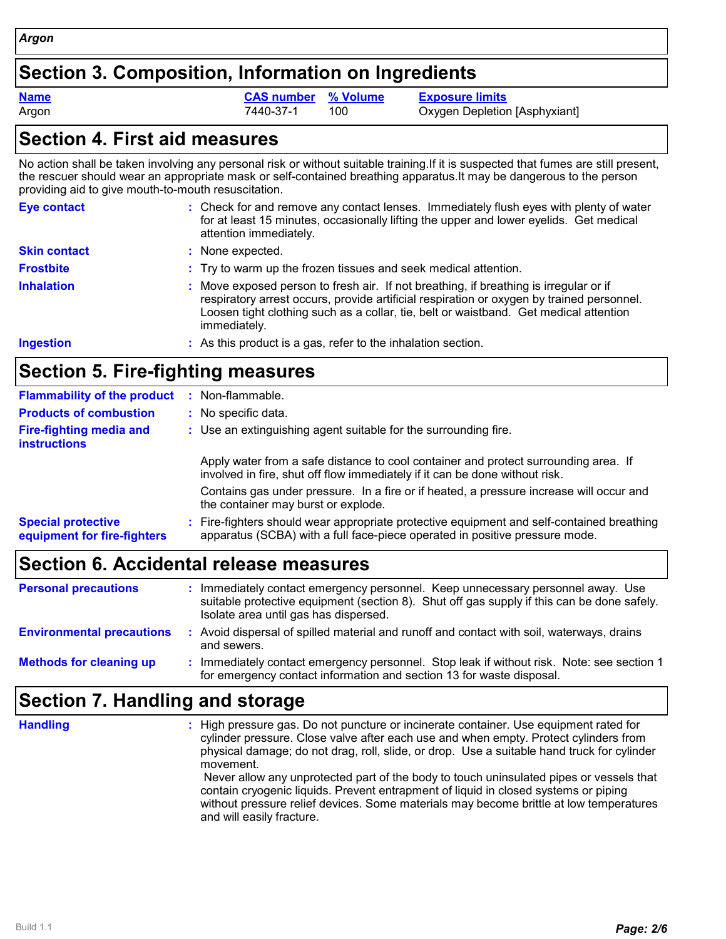#### **Section 3. Composition, Information on Ingredients**

Argon **1988** Tam Argon 200 Tags 7440-37-1 100 Cassacre Depletion [Asphyxiant] **Name CAS number % Volume Exposure limits**

#### **Section 4. First aid measures**

No action shall be taken involving any personal risk or without suitable training.If it is suspected that fumes are still present, the rescuer should wear an appropriate mask or self-contained breathing apparatus.It may be dangerous to the person providing aid to give mouth-to-mouth resuscitation.

| <b>Eye contact</b>  | : Check for and remove any contact lenses. Immediately flush eyes with plenty of water<br>for at least 15 minutes, occasionally lifting the upper and lower eyelids. Get medical<br>attention immediately.                                                                                |
|---------------------|-------------------------------------------------------------------------------------------------------------------------------------------------------------------------------------------------------------------------------------------------------------------------------------------|
| <b>Skin contact</b> | : None expected.                                                                                                                                                                                                                                                                          |
| <b>Frostbite</b>    | : Try to warm up the frozen tissues and seek medical attention.                                                                                                                                                                                                                           |
| <b>Inhalation</b>   | Move exposed person to fresh air. If not breathing, if breathing is irregular or if<br>respiratory arrest occurs, provide artificial respiration or oxygen by trained personnel.<br>Loosen tight clothing such as a collar, tie, belt or waistband. Get medical attention<br>immediately. |
| <b>Ingestion</b>    | : As this product is a gas, refer to the inhalation section.                                                                                                                                                                                                                              |

# **Section 5. Fire-fighting measures**

| <b>Flammability of the product</b>                       | : Non-flammable.                                                                                                                                                         |  |  |  |  |
|----------------------------------------------------------|--------------------------------------------------------------------------------------------------------------------------------------------------------------------------|--|--|--|--|
| <b>Products of combustion</b>                            | : No specific data.                                                                                                                                                      |  |  |  |  |
| <b>Fire-fighting media and</b><br><b>instructions</b>    | : Use an extinguishing agent suitable for the surrounding fire.                                                                                                          |  |  |  |  |
|                                                          | Apply water from a safe distance to cool container and protect surrounding area. If<br>involved in fire, shut off flow immediately if it can be done without risk.       |  |  |  |  |
|                                                          | Contains gas under pressure. In a fire or if heated, a pressure increase will occur and<br>the container may burst or explode.                                           |  |  |  |  |
| <b>Special protective</b><br>equipment for fire-fighters | : Fire-fighters should wear appropriate protective equipment and self-contained breathing<br>apparatus (SCBA) with a full face-piece operated in positive pressure mode. |  |  |  |  |
|                                                          |                                                                                                                                                                          |  |  |  |  |

# **Section 6. Accidental release measures**

| <b>Personal precautions</b>      | Immediately contact emergency personnel. Keep unnecessary personnel away. Use<br>suitable protective equipment (section 8). Shut off gas supply if this can be done safely.<br>Isolate area until gas has dispersed. |
|----------------------------------|----------------------------------------------------------------------------------------------------------------------------------------------------------------------------------------------------------------------|
| <b>Environmental precautions</b> | Avoid dispersal of spilled material and runoff and contact with soil, waterways, drains<br>and sewers.                                                                                                               |
| <b>Methods for cleaning up</b>   | Immediately contact emergency personnel. Stop leak if without risk. Note: see section 1<br>for emergency contact information and section 13 for waste disposal.                                                      |

# **Section 7. Handling and storage**

**Handling :**

High pressure gas. Do not puncture or incinerate container. Use equipment rated for cylinder pressure. Close valve after each use and when empty. Protect cylinders from physical damage; do not drag, roll, slide, or drop. Use a suitable hand truck for cylinder movement. Never allow any unprotected part of the body to touch uninsulated pipes or vessels that contain cryogenic liquids. Prevent entrapment of liquid in closed systems or piping without pressure relief devices. Some materials may become brittle at low temperatures and will easily fracture.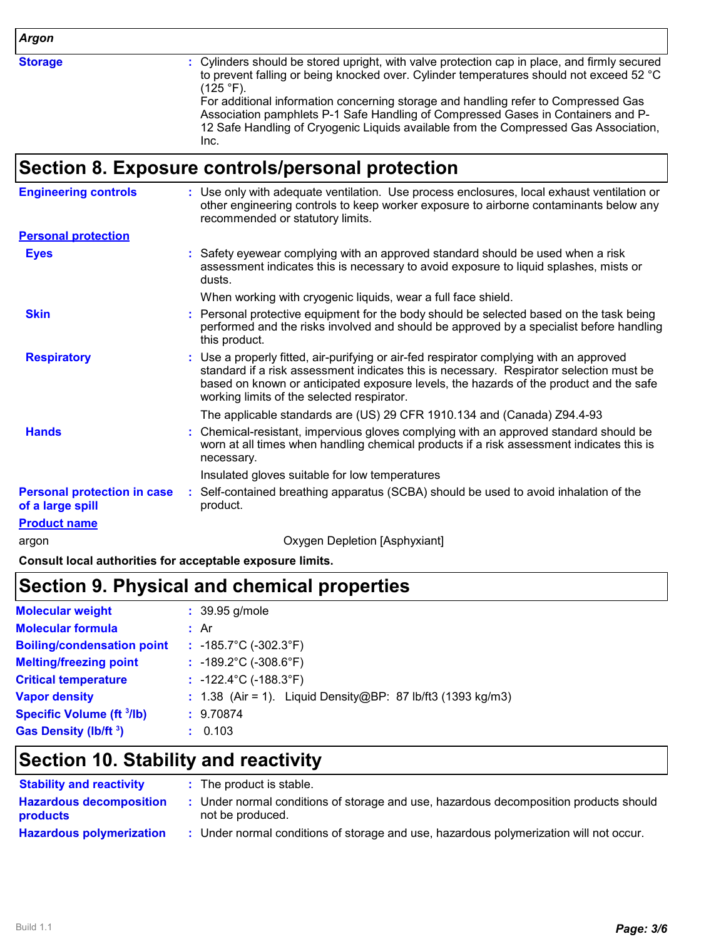*Argon*

**Storage :**

Cylinders should be stored upright, with valve protection cap in place, and firmly secured to prevent falling or being knocked over. Cylinder temperatures should not exceed 52 °C  $(125 °F)$ .

For additional information concerning storage and handling refer to Compressed Gas Association pamphlets P-1 Safe Handling of Compressed Gases in Containers and P-12 Safe Handling of Cryogenic Liquids available from the Compressed Gas Association, Inc.

#### **Section 8. Exposure controls/personal protection**

| <b>Engineering controls</b>                            | : Use only with adequate ventilation. Use process enclosures, local exhaust ventilation or<br>other engineering controls to keep worker exposure to airborne contaminants below any<br>recommended or statutory limits.                                                                                                    |
|--------------------------------------------------------|----------------------------------------------------------------------------------------------------------------------------------------------------------------------------------------------------------------------------------------------------------------------------------------------------------------------------|
| <b>Personal protection</b>                             |                                                                                                                                                                                                                                                                                                                            |
| <b>Eyes</b>                                            | : Safety eyewear complying with an approved standard should be used when a risk<br>assessment indicates this is necessary to avoid exposure to liquid splashes, mists or<br>dusts.                                                                                                                                         |
|                                                        | When working with cryogenic liquids, wear a full face shield.                                                                                                                                                                                                                                                              |
| <b>Skin</b>                                            | Personal protective equipment for the body should be selected based on the task being<br>performed and the risks involved and should be approved by a specialist before handling<br>this product.                                                                                                                          |
| <b>Respiratory</b>                                     | : Use a properly fitted, air-purifying or air-fed respirator complying with an approved<br>standard if a risk assessment indicates this is necessary. Respirator selection must be<br>based on known or anticipated exposure levels, the hazards of the product and the safe<br>working limits of the selected respirator. |
|                                                        | The applicable standards are (US) 29 CFR 1910.134 and (Canada) Z94.4-93                                                                                                                                                                                                                                                    |
| <b>Hands</b>                                           | : Chemical-resistant, impervious gloves complying with an approved standard should be<br>worn at all times when handling chemical products if a risk assessment indicates this is<br>necessary.                                                                                                                            |
|                                                        | Insulated gloves suitable for low temperatures                                                                                                                                                                                                                                                                             |
| <b>Personal protection in case</b><br>of a large spill | : Self-contained breathing apparatus (SCBA) should be used to avoid inhalation of the<br>product.                                                                                                                                                                                                                          |
| <b>Product name</b>                                    |                                                                                                                                                                                                                                                                                                                            |
| argon                                                  | Oxygen Depletion [Asphyxiant]                                                                                                                                                                                                                                                                                              |

**Consult local authorities for acceptable exposure limits.**

# **Section 9. Physical and chemical properties**

| <b>Molecular weight</b>           | $: 39.95$ g/mole                                              |  |
|-----------------------------------|---------------------------------------------------------------|--|
| <b>Molecular formula</b>          | : Ar                                                          |  |
| <b>Boiling/condensation point</b> | : $-185.7^{\circ}$ C ( $-302.3^{\circ}$ F)                    |  |
| <b>Melting/freezing point</b>     | $: -189.2^{\circ}C (-308.6^{\circ}F)$                         |  |
| <b>Critical temperature</b>       | : $-122.4^{\circ}$ C ( $-188.3^{\circ}$ F)                    |  |
| <b>Vapor density</b>              | : $1.38$ (Air = 1). Liquid Density@BP: 87 lb/ft3 (1393 kg/m3) |  |
| <b>Specific Volume (ft 3/lb)</b>  | : 9.70874                                                     |  |
| Gas Density (lb/ft 3)             | : 0.103                                                       |  |

# **Section 10. Stability and reactivity**

| <b>Stability and reactivity</b>                   | : The product is stable.                                                                                |
|---------------------------------------------------|---------------------------------------------------------------------------------------------------------|
| <b>Hazardous decomposition</b><br><b>products</b> | Under normal conditions of storage and use, hazardous decomposition products should<br>not be produced. |
| <b>Hazardous polymerization</b>                   | Under normal conditions of storage and use, hazardous polymerization will not occur.                    |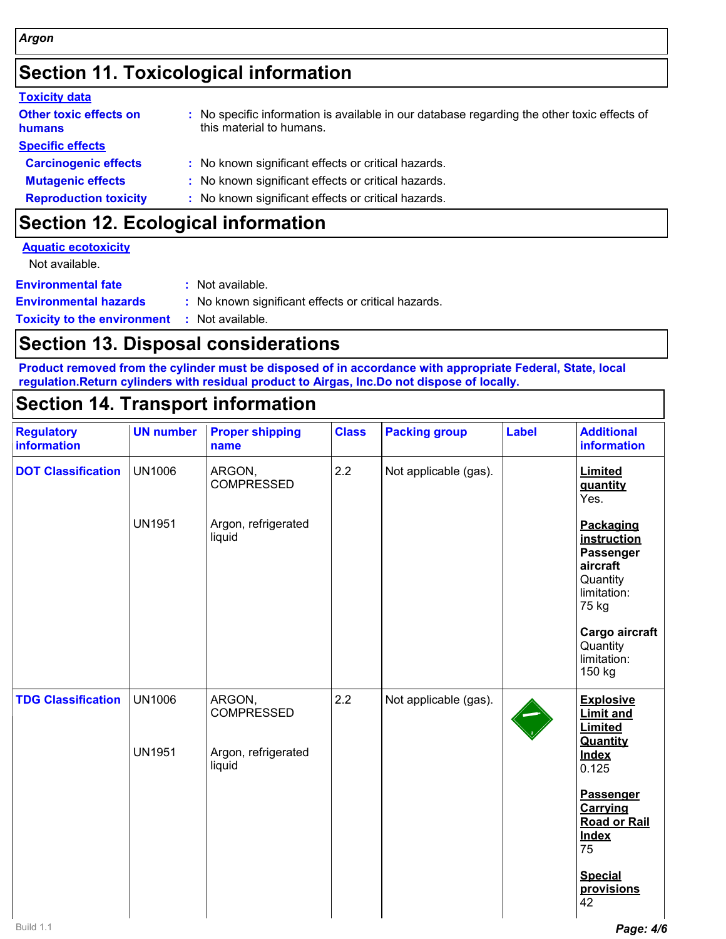# **Section 11. Toxicological information**

| <b>Toxicity data</b>                    |                                                                                                                         |
|-----------------------------------------|-------------------------------------------------------------------------------------------------------------------------|
| <b>Other toxic effects on</b><br>humans | : No specific information is available in our database regarding the other toxic effects of<br>this material to humans. |
| <b>Specific effects</b>                 |                                                                                                                         |
| <b>Carcinogenic effects</b>             | : No known significant effects or critical hazards.                                                                     |
| <b>Mutagenic effects</b>                | : No known significant effects or critical hazards.                                                                     |
| <b>Reproduction toxicity</b>            | : No known significant effects or critical hazards.                                                                     |
|                                         |                                                                                                                         |

# **Section 12. Ecological information**

| <b>Aquatic ecotoxicity</b>         |                                                     |
|------------------------------------|-----------------------------------------------------|
| Not available.                     |                                                     |
| <b>Environmental fate</b>          | : Not available.                                    |
| <b>Environmental hazards</b>       | : No known significant effects or critical hazards. |
| <b>Toxicity to the environment</b> | : Not available.                                    |

### **Section 13. Disposal considerations**

**Product removed from the cylinder must be disposed of in accordance with appropriate Federal, State, local regulation.Return cylinders with residual product to Airgas, Inc.Do not dispose of locally.**

# **Section 14. Transport information**

| <b>Regulatory</b><br>information | <b>UN number</b>               | <b>Proper shipping</b><br>name                               | <b>Class</b> | <b>Packing group</b>  | <b>Label</b> | <b>Additional</b><br>information                                                                                                                                                                        |
|----------------------------------|--------------------------------|--------------------------------------------------------------|--------------|-----------------------|--------------|---------------------------------------------------------------------------------------------------------------------------------------------------------------------------------------------------------|
| <b>DOT Classification</b>        | <b>UN1006</b>                  | ARGON,<br><b>COMPRESSED</b>                                  | 2.2          | Not applicable (gas). |              | Limited<br>quantity<br>Yes.                                                                                                                                                                             |
|                                  | <b>UN1951</b>                  | Argon, refrigerated<br>liquid                                |              |                       |              | Packaging<br>instruction<br>Passenger<br>aircraft<br>Quantity<br>limitation:<br>75 kg<br>Cargo aircraft<br>Quantity<br>limitation:<br>150 kg                                                            |
| <b>TDG Classification</b>        | <b>UN1006</b><br><b>UN1951</b> | ARGON,<br><b>COMPRESSED</b><br>Argon, refrigerated<br>liquid | 2.2          | Not applicable (gas). |              | <b>Explosive</b><br><b>Limit and</b><br>Limited<br>Quantity<br><b>Index</b><br>0.125<br>Passenger<br><b>Carrying</b><br><b>Road or Rail</b><br><b>Index</b><br>75<br><b>Special</b><br>provisions<br>42 |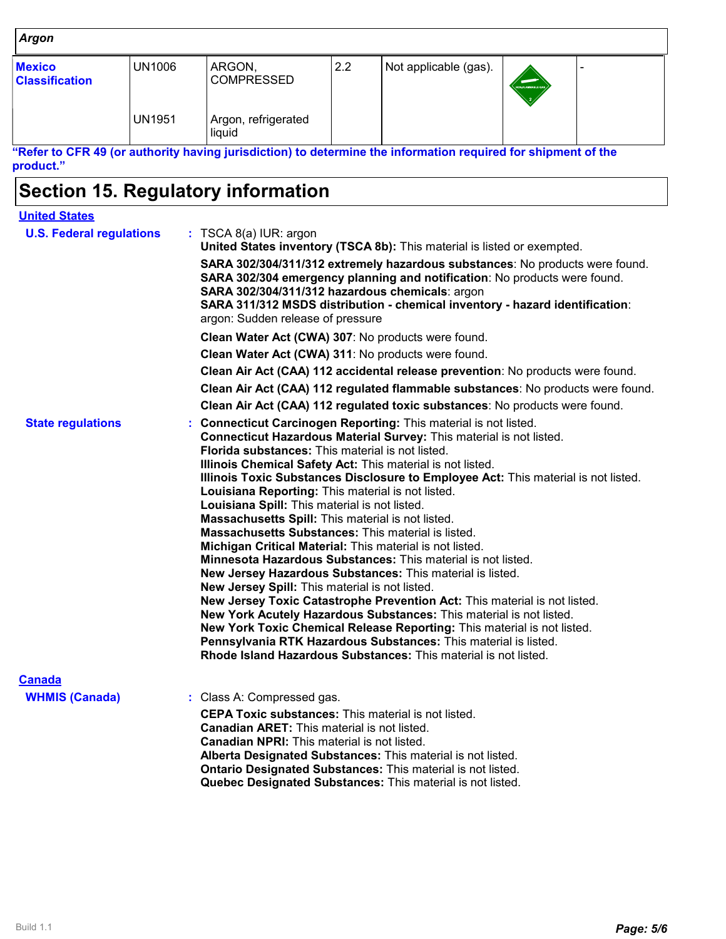#### *Argon*

| <b>Mexico</b><br><b>Classification</b> | UN1006        | ARGON,<br><b>COMPRESSED</b>   | 2.2 | Not applicable (gas). | NONFLAMMABLE GAS |  |
|----------------------------------------|---------------|-------------------------------|-----|-----------------------|------------------|--|
|                                        | <b>UN1951</b> | Argon, refrigerated<br>liquid |     |                       |                  |  |

**"Refer to CFR 49 (or authority having jurisdiction) to determine the information required for shipment of the product."**

# **Section 15. Regulatory information**

| <b>United States</b>            |                                                                                                                                                                                                                                                                                                                                                                                                                                                                                                                                                                                                                                                                                                                                                                                                                                                                                                                                                                                                                                                                                                                                                                                              |  |  |  |  |  |
|---------------------------------|----------------------------------------------------------------------------------------------------------------------------------------------------------------------------------------------------------------------------------------------------------------------------------------------------------------------------------------------------------------------------------------------------------------------------------------------------------------------------------------------------------------------------------------------------------------------------------------------------------------------------------------------------------------------------------------------------------------------------------------------------------------------------------------------------------------------------------------------------------------------------------------------------------------------------------------------------------------------------------------------------------------------------------------------------------------------------------------------------------------------------------------------------------------------------------------------|--|--|--|--|--|
| <b>U.S. Federal regulations</b> | $:$ TSCA 8(a) IUR: argon<br>United States inventory (TSCA 8b): This material is listed or exempted.                                                                                                                                                                                                                                                                                                                                                                                                                                                                                                                                                                                                                                                                                                                                                                                                                                                                                                                                                                                                                                                                                          |  |  |  |  |  |
|                                 | SARA 302/304/311/312 extremely hazardous substances: No products were found.<br>SARA 302/304 emergency planning and notification: No products were found.<br>SARA 302/304/311/312 hazardous chemicals: argon<br>SARA 311/312 MSDS distribution - chemical inventory - hazard identification:<br>argon: Sudden release of pressure                                                                                                                                                                                                                                                                                                                                                                                                                                                                                                                                                                                                                                                                                                                                                                                                                                                            |  |  |  |  |  |
|                                 | Clean Water Act (CWA) 307: No products were found.                                                                                                                                                                                                                                                                                                                                                                                                                                                                                                                                                                                                                                                                                                                                                                                                                                                                                                                                                                                                                                                                                                                                           |  |  |  |  |  |
|                                 | Clean Water Act (CWA) 311: No products were found.                                                                                                                                                                                                                                                                                                                                                                                                                                                                                                                                                                                                                                                                                                                                                                                                                                                                                                                                                                                                                                                                                                                                           |  |  |  |  |  |
|                                 | Clean Air Act (CAA) 112 accidental release prevention: No products were found.                                                                                                                                                                                                                                                                                                                                                                                                                                                                                                                                                                                                                                                                                                                                                                                                                                                                                                                                                                                                                                                                                                               |  |  |  |  |  |
|                                 | Clean Air Act (CAA) 112 regulated flammable substances: No products were found.                                                                                                                                                                                                                                                                                                                                                                                                                                                                                                                                                                                                                                                                                                                                                                                                                                                                                                                                                                                                                                                                                                              |  |  |  |  |  |
|                                 | Clean Air Act (CAA) 112 regulated toxic substances: No products were found.                                                                                                                                                                                                                                                                                                                                                                                                                                                                                                                                                                                                                                                                                                                                                                                                                                                                                                                                                                                                                                                                                                                  |  |  |  |  |  |
| <b>State regulations</b>        | <b>Connecticut Carcinogen Reporting: This material is not listed.</b><br>Connecticut Hazardous Material Survey: This material is not listed.<br>Florida substances: This material is not listed.<br>Illinois Chemical Safety Act: This material is not listed.<br>Illinois Toxic Substances Disclosure to Employee Act: This material is not listed.<br>Louisiana Reporting: This material is not listed.<br>Louisiana Spill: This material is not listed.<br>Massachusetts Spill: This material is not listed.<br><b>Massachusetts Substances:</b> This material is listed.<br>Michigan Critical Material: This material is not listed.<br>Minnesota Hazardous Substances: This material is not listed.<br>New Jersey Hazardous Substances: This material is listed.<br>New Jersey Spill: This material is not listed.<br>New Jersey Toxic Catastrophe Prevention Act: This material is not listed.<br>New York Acutely Hazardous Substances: This material is not listed.<br>New York Toxic Chemical Release Reporting: This material is not listed.<br>Pennsylvania RTK Hazardous Substances: This material is listed.<br>Rhode Island Hazardous Substances: This material is not listed. |  |  |  |  |  |
| <b>Canada</b>                   |                                                                                                                                                                                                                                                                                                                                                                                                                                                                                                                                                                                                                                                                                                                                                                                                                                                                                                                                                                                                                                                                                                                                                                                              |  |  |  |  |  |
| <b>WHMIS (Canada)</b>           | : Class A: Compressed gas.                                                                                                                                                                                                                                                                                                                                                                                                                                                                                                                                                                                                                                                                                                                                                                                                                                                                                                                                                                                                                                                                                                                                                                   |  |  |  |  |  |
|                                 | <b>CEPA Toxic substances:</b> This material is not listed.<br><b>Canadian ARET:</b> This material is not listed.<br><b>Canadian NPRI:</b> This material is not listed.<br>Alberta Designated Substances: This material is not listed.<br>Ontario Designated Substances: This material is not listed.<br>Quebec Designated Substances: This material is not listed.                                                                                                                                                                                                                                                                                                                                                                                                                                                                                                                                                                                                                                                                                                                                                                                                                           |  |  |  |  |  |